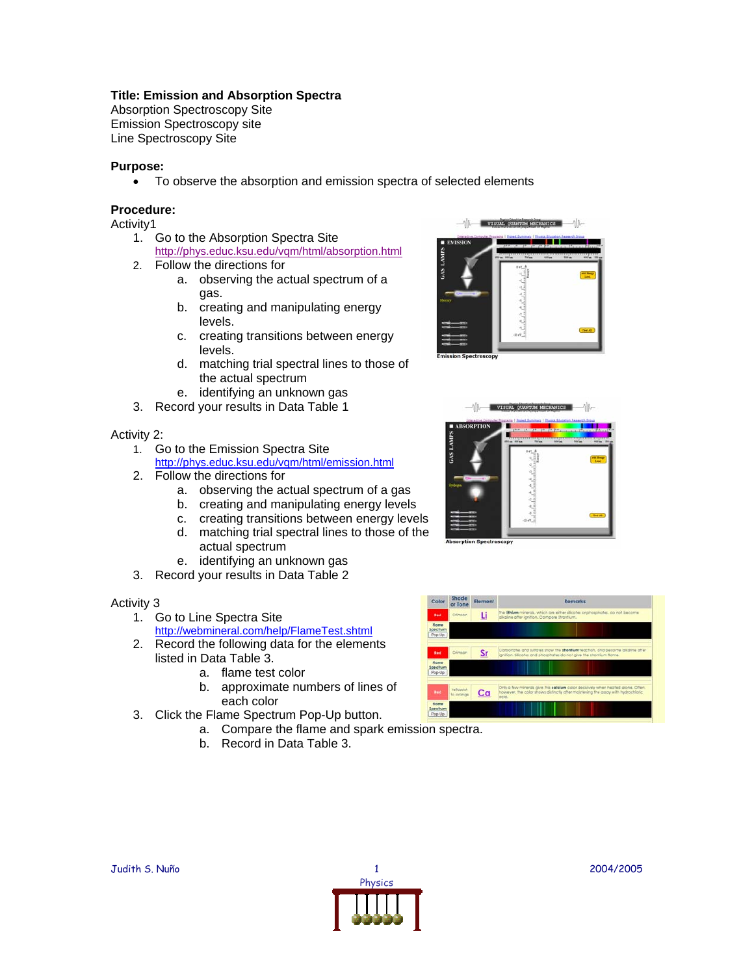# **Title: Emission and Absorption Spectra**

Absorption Spectroscopy Site Emission Spectroscopy site Line Spectroscopy Site

# **Purpose:**

• To observe the absorption and emission spectra of selected elements

## **Procedure:**

Activity1

- 1. Go to the Absorption Spectra Site http://phys.educ.ksu.edu/vqm/html/absorption.html
- 2. Follow the directions for
	- a. observing the actual spectrum of a gas.
	- b. creating and manipulating energy levels.
	- c. creating transitions between energy levels.
	- d. matching trial spectral lines to those of the actual spectrum
	- e. identifying an unknown gas
- 3. Record your results in Data Table 1

#### Activity 2:

- 1. Go to the Emission Spectra Site <http://phys.educ.ksu.edu/vqm/html/emission.html>
- 2. Follow the directions for
	- a. observing the actual spectrum of a gas
	- b. creating and manipulating energy levels
	- c. creating transitions between energy levels
	- d. matching trial spectral lines to those of the actual spectrum
	- e. identifying an unknown gas
- 3. Record your results in Data Table 2

#### Activity 3

- 1. Go to Line Spectra Site
	- <http://webmineral.com/help/FlameTest.shtml>
- 2. Record the following data for the elements listed in Data Table 3.
	- a. flame test color
	- b. approximate numbers of lines of each color
- 3. Click the Flame Spectrum Pop-Up button.
	- a. Compare the flame and spark emis[sion spectra.](http://webmineral.com/help/FlameTest.shtml)
	- b. Record in Data Table 3.







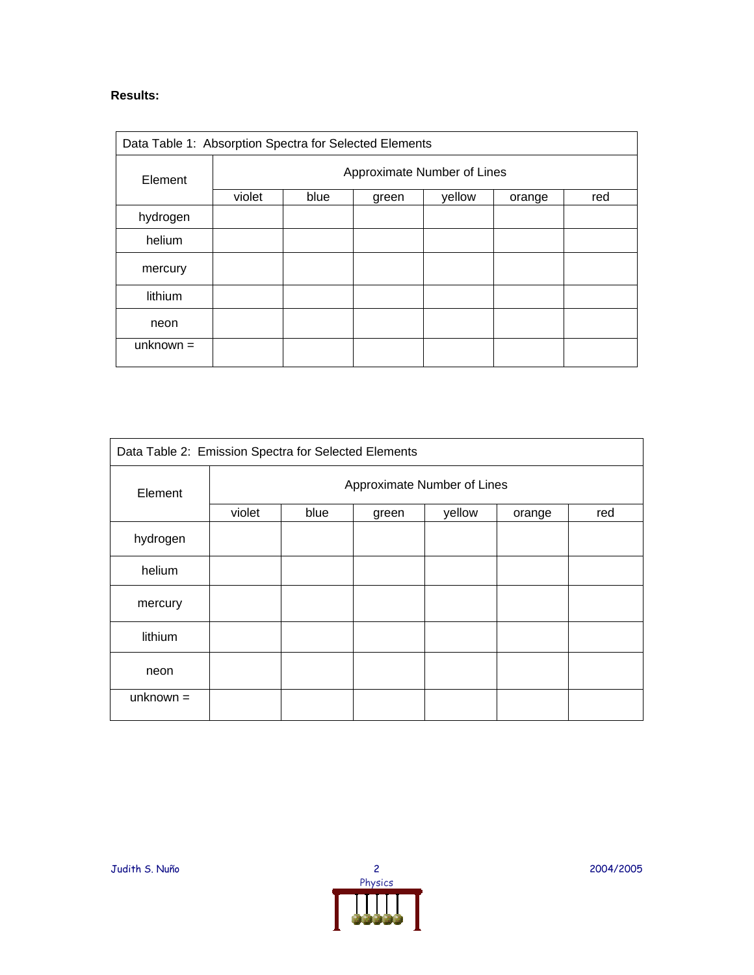# **Results:**

| Data Table 1: Absorption Spectra for Selected Elements |                             |      |       |        |        |     |  |  |
|--------------------------------------------------------|-----------------------------|------|-------|--------|--------|-----|--|--|
| Element                                                | Approximate Number of Lines |      |       |        |        |     |  |  |
|                                                        | violet                      | blue | green | yellow | orange | red |  |  |
| hydrogen                                               |                             |      |       |        |        |     |  |  |
| helium                                                 |                             |      |       |        |        |     |  |  |
| mercury                                                |                             |      |       |        |        |     |  |  |
| lithium                                                |                             |      |       |        |        |     |  |  |
| neon                                                   |                             |      |       |        |        |     |  |  |
| unknown $=$                                            |                             |      |       |        |        |     |  |  |

| Data Table 2: Emission Spectra for Selected Elements |                             |      |       |        |        |     |  |  |
|------------------------------------------------------|-----------------------------|------|-------|--------|--------|-----|--|--|
| Element                                              | Approximate Number of Lines |      |       |        |        |     |  |  |
|                                                      | violet                      | blue | green | yellow | orange | red |  |  |
| hydrogen                                             |                             |      |       |        |        |     |  |  |
| helium                                               |                             |      |       |        |        |     |  |  |
| mercury                                              |                             |      |       |        |        |     |  |  |
| lithium                                              |                             |      |       |        |        |     |  |  |
| neon                                                 |                             |      |       |        |        |     |  |  |
| $unknown =$                                          |                             |      |       |        |        |     |  |  |

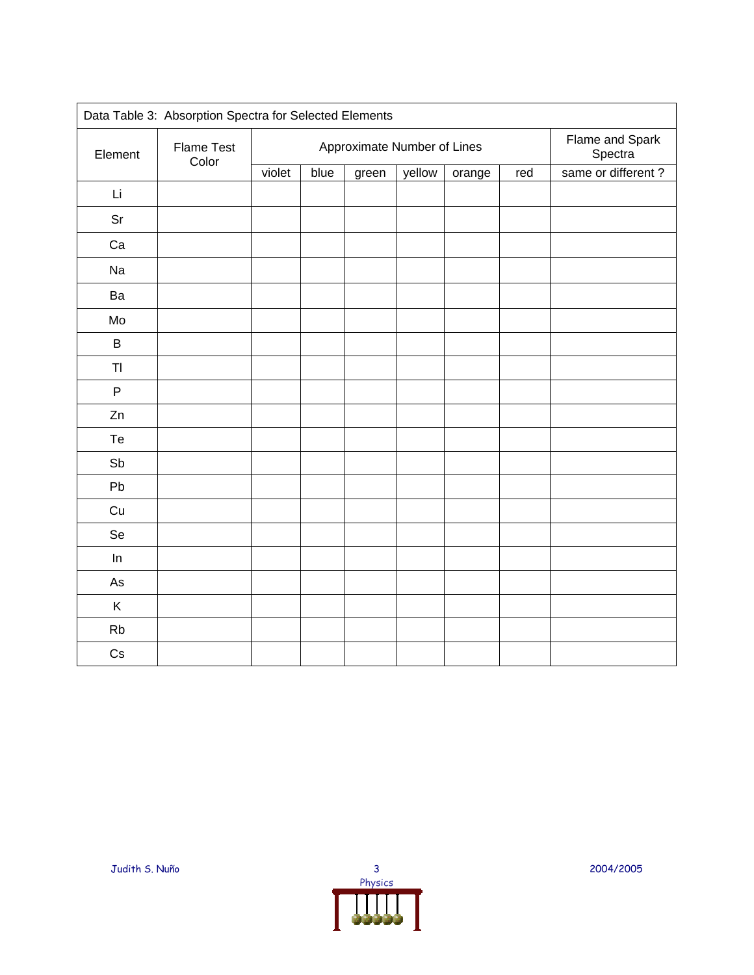| Data Table 3: Absorption Spectra for Selected Elements |                            |                             |      |       |        |        |                            |                    |
|--------------------------------------------------------|----------------------------|-----------------------------|------|-------|--------|--------|----------------------------|--------------------|
| Element                                                | <b>Flame Test</b><br>Color | Approximate Number of Lines |      |       |        |        | Flame and Spark<br>Spectra |                    |
|                                                        |                            | violet                      | blue | green | yellow | orange | red                        | same or different? |
| Li                                                     |                            |                             |      |       |        |        |                            |                    |
| Sr                                                     |                            |                             |      |       |        |        |                            |                    |
| Ca                                                     |                            |                             |      |       |        |        |                            |                    |
| Na                                                     |                            |                             |      |       |        |        |                            |                    |
| Ba                                                     |                            |                             |      |       |        |        |                            |                    |
| Mo                                                     |                            |                             |      |       |        |        |                            |                    |
| $\sf B$                                                |                            |                             |      |       |        |        |                            |                    |
| T <sub>l</sub>                                         |                            |                             |      |       |        |        |                            |                    |
| $\sf P$                                                |                            |                             |      |       |        |        |                            |                    |
| Zn                                                     |                            |                             |      |       |        |        |                            |                    |
| Te                                                     |                            |                             |      |       |        |        |                            |                    |
| Sb                                                     |                            |                             |      |       |        |        |                            |                    |
| Pb                                                     |                            |                             |      |       |        |        |                            |                    |
| Cu                                                     |                            |                             |      |       |        |        |                            |                    |
| Se                                                     |                            |                             |      |       |        |        |                            |                    |
| ln                                                     |                            |                             |      |       |        |        |                            |                    |
| As                                                     |                            |                             |      |       |        |        |                            |                    |
| Κ                                                      |                            |                             |      |       |        |        |                            |                    |
| Rb                                                     |                            |                             |      |       |        |        |                            |                    |
| $\mathsf{Cs}$                                          |                            |                             |      |       |        |        |                            |                    |